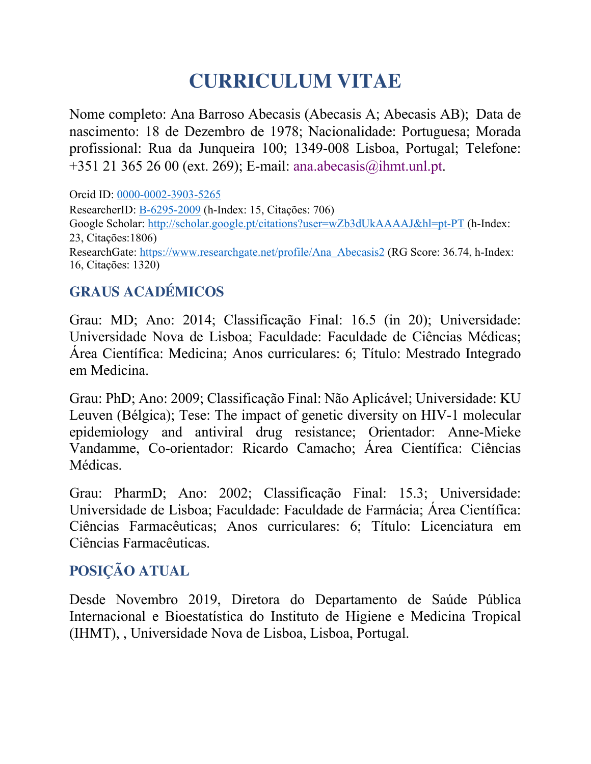# **CURRICULUM VITAE**

Nome completo: Ana Barroso Abecasis (Abecasis A; Abecasis AB); Data de nascimento: 18 de Dezembro de 1978; Nacionalidade: Portuguesa; Morada profissional: Rua da Junqueira 100; 1349-008 Lisboa, Portugal; Telefone: +351 21 365 26 00 (ext. 269); E-mail: ana.abecasis@ihmt.unl.pt.

Orcid ID: 0000-0002-3903-5265 ResearcherID: B-6295-2009 (h-Index: 15, Citações: 706) Google Scholar: http://scholar.google.pt/citations?user=wZb3dUkAAAAJ&hl=pt-PT (h-Index: 23, Citações:1806) ResearchGate: https://www.researchgate.net/profile/Ana\_Abecasis2 (RG Score: 36.74, h-Index: 16, Citações: 1320)

# **GRAUS ACADÉMICOS**

Grau: MD; Ano: 2014; Classificação Final: 16.5 (in 20); Universidade: Universidade Nova de Lisboa; Faculdade: Faculdade de Ciências Médicas; Área Científica: Medicina; Anos curriculares: 6; Título: Mestrado Integrado em Medicina.

Grau: PhD; Ano: 2009; Classificação Final: Não Aplicável; Universidade: KU Leuven (Bélgica); Tese: The impact of genetic diversity on HIV-1 molecular epidemiology and antiviral drug resistance; Orientador: Anne-Mieke Vandamme, Co-orientador: Ricardo Camacho; Área Científica: Ciências Médicas.

Grau: PharmD; Ano: 2002; Classificação Final: 15.3; Universidade: Universidade de Lisboa; Faculdade: Faculdade de Farmácia; Área Científica: Ciências Farmacêuticas; Anos curriculares: 6; Título: Licenciatura em Ciências Farmacêuticas.

## **POSIÇÃO ATUAL**

Desde Novembro 2019, Diretora do Departamento de Saúde Pública Internacional e Bioestatística do Instituto de Higiene e Medicina Tropical (IHMT), , Universidade Nova de Lisboa, Lisboa, Portugal.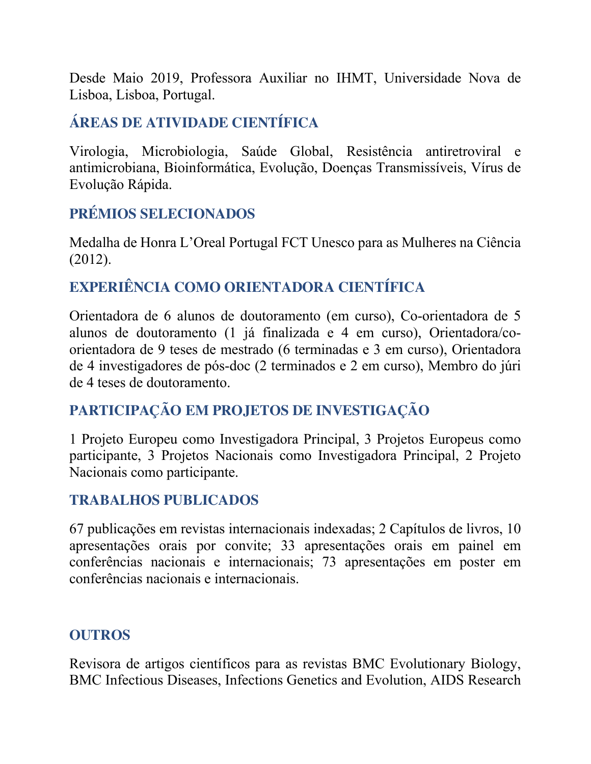Desde Maio 2019, Professora Auxiliar no IHMT, Universidade Nova de Lisboa, Lisboa, Portugal.

# **ÁREAS DE ATIVIDADE CIENTÍFICA**

Virologia, Microbiologia, Saúde Global, Resistência antiretroviral e antimicrobiana, Bioinformática, Evolução, Doenças Transmissíveis, Vírus de Evolução Rápida.

## **PRÉMIOS SELECIONADOS**

Medalha de Honra L'Oreal Portugal FCT Unesco para as Mulheres na Ciência (2012).

## **EXPERIÊNCIA COMO ORIENTADORA CIENTÍFICA**

Orientadora de 6 alunos de doutoramento (em curso), Co-orientadora de 5 alunos de doutoramento (1 já finalizada e 4 em curso), Orientadora/coorientadora de 9 teses de mestrado (6 terminadas e 3 em curso), Orientadora de 4 investigadores de pós-doc (2 terminados e 2 em curso), Membro do júri de 4 teses de doutoramento.

# **PARTICIPAÇÃO EM PROJETOS DE INVESTIGAÇÃO**

1 Projeto Europeu como Investigadora Principal, 3 Projetos Europeus como participante, 3 Projetos Nacionais como Investigadora Principal, 2 Projeto Nacionais como participante.

#### **TRABALHOS PUBLICADOS**

67 publicações em revistas internacionais indexadas; 2 Capítulos de livros, 10 apresentações orais por convite; 33 apresentações orais em painel em conferências nacionais e internacionais; 73 apresentações em poster em conferências nacionais e internacionais.

#### **OUTROS**

Revisora de artigos científicos para as revistas BMC Evolutionary Biology, BMC Infectious Diseases, Infections Genetics and Evolution, AIDS Research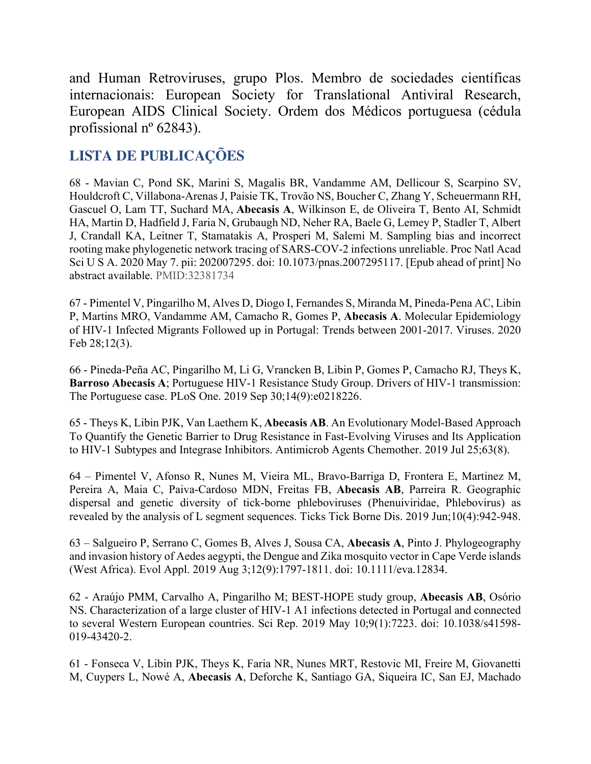and Human Retroviruses, grupo Plos. Membro de sociedades científicas internacionais: European Society for Translational Antiviral Research, European AIDS Clinical Society. Ordem dos Médicos portuguesa (cédula profissional nº 62843).

### **LISTA DE PUBLICAÇÕES**

68 - Mavian C, Pond SK, Marini S, Magalis BR, Vandamme AM, Dellicour S, Scarpino SV, Houldcroft C, Villabona-Arenas J, Paisie TK, Trovão NS, Boucher C, Zhang Y, Scheuermann RH, Gascuel O, Lam TT, Suchard MA, **Abecasis A**, Wilkinson E, de Oliveira T, Bento AI, Schmidt HA, Martin D, Hadfield J, Faria N, Grubaugh ND, Neher RA, Baele G, Lemey P, Stadler T, Albert J, Crandall KA, Leitner T, Stamatakis A, Prosperi M, Salemi M. Sampling bias and incorrect rooting make phylogenetic network tracing of SARS-COV-2 infections unreliable. Proc Natl Acad Sci U S A. 2020 May 7. pii: 202007295. doi: 10.1073/pnas.2007295117. [Epub ahead of print] No abstract available. PMID:32381734

67 - Pimentel V, Pingarilho M, Alves D, Diogo I, Fernandes S, Miranda M, Pineda-Pena AC, Libin P, Martins MRO, Vandamme AM, Camacho R, Gomes P, **Abecasis A**. Molecular Epidemiology of HIV-1 Infected Migrants Followed up in Portugal: Trends between 2001-2017. Viruses. 2020 Feb 28;12(3).

66 - Pineda-Peña AC, Pingarilho M, Li G, Vrancken B, Libin P, Gomes P, Camacho RJ, Theys K, **Barroso Abecasis A**; Portuguese HIV-1 Resistance Study Group. Drivers of HIV-1 transmission: The Portuguese case. PLoS One. 2019 Sep 30;14(9):e0218226.

65 - Theys K, Libin PJK, Van Laethem K, **Abecasis AB**. An Evolutionary Model-Based Approach To Quantify the Genetic Barrier to Drug Resistance in Fast-Evolving Viruses and Its Application to HIV-1 Subtypes and Integrase Inhibitors. Antimicrob Agents Chemother. 2019 Jul 25;63(8).

64 – Pimentel V, Afonso R, Nunes M, Vieira ML, Bravo-Barriga D, Frontera E, Martinez M, Pereira A, Maia C, Paiva-Cardoso MDN, Freitas FB, **Abecasis AB**, Parreira R. Geographic dispersal and genetic diversity of tick-borne phleboviruses (Phenuiviridae, Phlebovirus) as revealed by the analysis of L segment sequences. Ticks Tick Borne Dis. 2019 Jun;10(4):942-948.

63 – Salgueiro P, Serrano C, Gomes B, Alves J, Sousa CA, **Abecasis A**, Pinto J. Phylogeography and invasion history of Aedes aegypti, the Dengue and Zika mosquito vector in Cape Verde islands (West Africa). Evol Appl. 2019 Aug 3;12(9):1797-1811. doi: 10.1111/eva.12834.

62 - Araújo PMM, Carvalho A, Pingarilho M; BEST-HOPE study group, **Abecasis AB**, Osório NS. Characterization of a large cluster of HIV-1 A1 infections detected in Portugal and connected to several Western European countries. Sci Rep. 2019 May 10;9(1):7223. doi: 10.1038/s41598- 019-43420-2.

61 - Fonseca V, Libin PJK, Theys K, Faria NR, Nunes MRT, Restovic MI, Freire M, Giovanetti M, Cuypers L, Nowé A, **Abecasis A**, Deforche K, Santiago GA, Siqueira IC, San EJ, Machado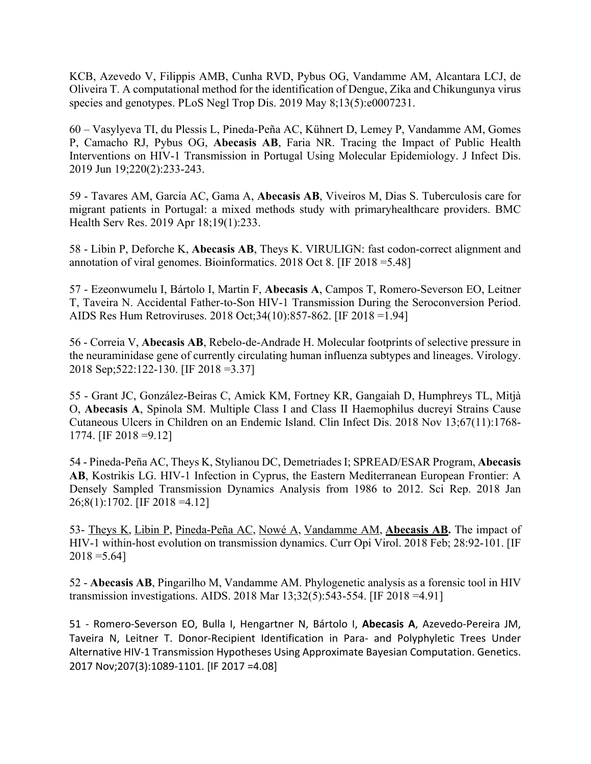KCB, Azevedo V, Filippis AMB, Cunha RVD, Pybus OG, Vandamme AM, Alcantara LCJ, de Oliveira T. A computational method for the identification of Dengue, Zika and Chikungunya virus species and genotypes. PLoS Negl Trop Dis. 2019 May 8;13(5):e0007231.

60 – Vasylyeva TI, du Plessis L, Pineda-Peña AC, Kühnert D, Lemey P, Vandamme AM, Gomes P, Camacho RJ, Pybus OG, **Abecasis AB**, Faria NR. Tracing the Impact of Public Health Interventions on HIV-1 Transmission in Portugal Using Molecular Epidemiology. J Infect Dis. 2019 Jun 19;220(2):233-243.

59 - Tavares AM, Garcia AC, Gama A, **Abecasis AB**, Viveiros M, Dias S. Tuberculosis care for migrant patients in Portugal: a mixed methods study with primaryhealthcare providers. BMC Health Serv Res. 2019 Apr 18;19(1):233.

58 - Libin P, Deforche K, **Abecasis AB**, Theys K. VIRULIGN: fast codon-correct alignment and annotation of viral genomes. Bioinformatics. 2018 Oct 8. [IF 2018 =5.48]

57 - Ezeonwumelu I, Bártolo I, Martin F, **Abecasis A**, Campos T, Romero-Severson EO, Leitner T, Taveira N. Accidental Father-to-Son HIV-1 Transmission During the Seroconversion Period. AIDS Res Hum Retroviruses. 2018 Oct;34(10):857-862. [IF 2018 =1.94]

56 - Correia V, **Abecasis AB**, Rebelo-de-Andrade H. Molecular footprints of selective pressure in the neuraminidase gene of currently circulating human influenza subtypes and lineages. Virology. 2018 Sep;522:122-130. [IF 2018 =3.37]

55 - Grant JC, González-Beiras C, Amick KM, Fortney KR, Gangaiah D, Humphreys TL, Mitjà O, **Abecasis A**, Spinola SM. Multiple Class I and Class II Haemophilus ducreyi Strains Cause Cutaneous Ulcers in Children on an Endemic Island. Clin Infect Dis. 2018 Nov 13;67(11):1768- 1774. [IF 2018 =9.12]

54 - Pineda-Peña AC, Theys K, Stylianou DC, Demetriades I; SPREAD/ESAR Program, **Abecasis AB**, Kostrikis LG. HIV-1 Infection in Cyprus, the Eastern Mediterranean European Frontier: A Densely Sampled Transmission Dynamics Analysis from 1986 to 2012. Sci Rep. 2018 Jan 26;8(1):1702. [IF 2018 =4.12]

53- Theys K, Libin P, Pineda-Peña AC, Nowé A, Vandamme AM, **Abecasis AB.** The impact of HIV-1 within-host evolution on transmission dynamics. Curr Opi Virol. 2018 Feb; 28:92-101. [IF  $2018 = 5.64$ ]

52 - **Abecasis AB**, Pingarilho M, Vandamme AM. Phylogenetic analysis as a forensic tool in HIV transmission investigations. AIDS. 2018 Mar 13;32(5):543-554. [IF 2018 =4.91]

51 - Romero-Severson EO, Bulla I, Hengartner N, Bártolo I, **Abecasis A**, Azevedo-Pereira JM, Taveira N, Leitner T. Donor-Recipient Identification in Para- and Polyphyletic Trees Under Alternative HIV-1 Transmission Hypotheses Using Approximate Bayesian Computation. Genetics. 2017 Nov;207(3):1089-1101. [IF 2017 =4.08]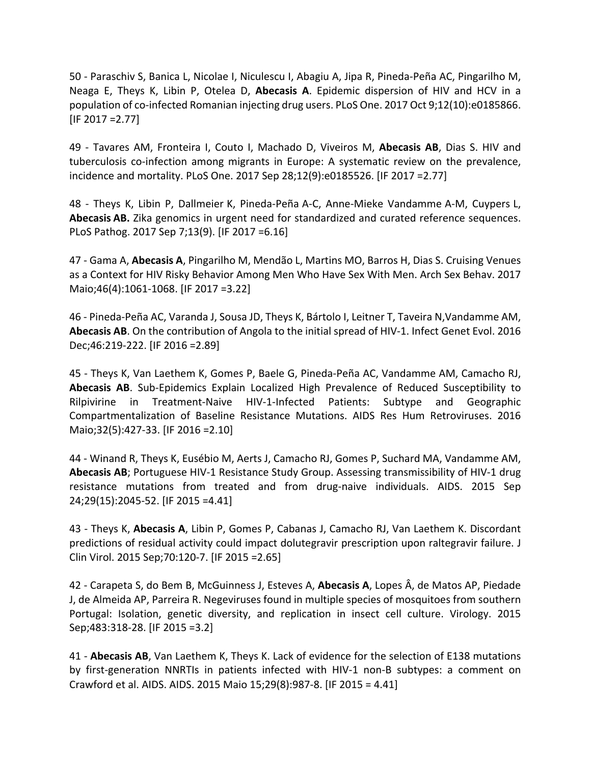50 - Paraschiv S, Banica L, Nicolae I, Niculescu I, Abagiu A, Jipa R, Pineda-Peña AC, Pingarilho M, Neaga E, Theys K, Libin P, Otelea D, **Abecasis A**. Epidemic dispersion of HIV and HCV in a population of co-infected Romanian injecting drug users. PLoS One. 2017 Oct 9;12(10):e0185866. [IF 2017 =2.77]

49 - Tavares AM, Fronteira I, Couto I, Machado D, Viveiros M, **Abecasis AB**, Dias S. HIV and tuberculosis co-infection among migrants in Europe: A systematic review on the prevalence, incidence and mortality. PLoS One. 2017 Sep 28;12(9):e0185526. [IF 2017 =2.77]

48 - Theys K, Libin P, Dallmeier K, Pineda-Peña A-C, Anne-Mieke Vandamme A-M, Cuypers L, **Abecasis AB.** Zika genomics in urgent need for standardized and curated reference sequences. PLoS Pathog. 2017 Sep 7;13(9). [IF 2017 =6.16]

47 - Gama A, **Abecasis A**, Pingarilho M, Mendão L, Martins MO, Barros H, Dias S. Cruising Venues as a Context for HIV Risky Behavior Among Men Who Have Sex With Men. Arch Sex Behav. 2017 Maio;46(4):1061-1068. [IF 2017 =3.22]

46 - Pineda-Peña AC, Varanda J, Sousa JD, Theys K, Bártolo I, Leitner T, Taveira N,Vandamme AM, **Abecasis AB**. On the contribution of Angola to the initial spread of HIV-1. Infect Genet Evol. 2016 Dec;46:219-222. [IF 2016 =2.89]

45 - Theys K, Van Laethem K, Gomes P, Baele G, Pineda-Peña AC, Vandamme AM, Camacho RJ, **Abecasis AB**. Sub-Epidemics Explain Localized High Prevalence of Reduced Susceptibility to Rilpivirine in Treatment-Naive HIV-1-Infected Patients: Subtype and Geographic Compartmentalization of Baseline Resistance Mutations. AIDS Res Hum Retroviruses. 2016 Maio;32(5):427-33. [IF 2016 =2.10]

44 - Winand R, Theys K, Eusébio M, Aerts J, Camacho RJ, Gomes P, Suchard MA, Vandamme AM, **Abecasis AB**; Portuguese HIV-1 Resistance Study Group. Assessing transmissibility of HIV-1 drug resistance mutations from treated and from drug-naive individuals. AIDS. 2015 Sep 24;29(15):2045-52. [IF 2015 =4.41]

43 - Theys K, **Abecasis A**, Libin P, Gomes P, Cabanas J, Camacho RJ, Van Laethem K. Discordant predictions of residual activity could impact dolutegravir prescription upon raltegravir failure. J Clin Virol. 2015 Sep;70:120-7. [IF 2015 =2.65]

42 - Carapeta S, do Bem B, McGuinness J, Esteves A, **Abecasis A**, Lopes Â, de Matos AP, Piedade J, de Almeida AP, Parreira R. Negeviruses found in multiple species of mosquitoes from southern Portugal: Isolation, genetic diversity, and replication in insect cell culture. Virology. 2015 Sep;483:318-28. [IF 2015 =3.2]

41 - **Abecasis AB**, Van Laethem K, Theys K. Lack of evidence for the selection of E138 mutations by first-generation NNRTIs in patients infected with HIV-1 non-B subtypes: a comment on Crawford et al. AIDS. AIDS. 2015 Maio 15;29(8):987-8. [IF 2015 = 4.41]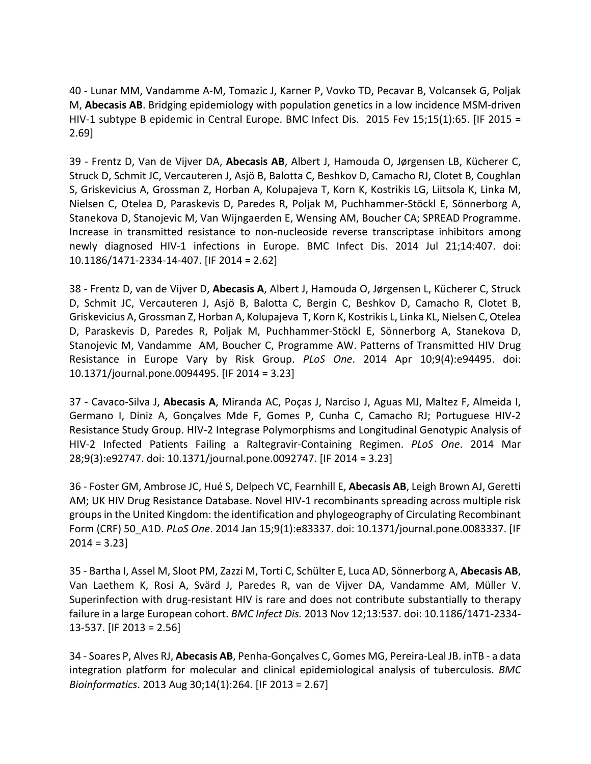40 - Lunar MM, Vandamme A-M, Tomazic J, Karner P, Vovko TD, Pecavar B, Volcansek G, Poljak M, **Abecasis AB**. Bridging epidemiology with population genetics in a low incidence MSM-driven HIV-1 subtype B epidemic in Central Europe. BMC Infect Dis. 2015 Fev 15;15(1):65. [IF 2015 = 2.69]

39 - Frentz D, Van de Vijver DA, **Abecasis AB**, Albert J, Hamouda O, Jørgensen LB, Kücherer C, Struck D, Schmit JC, Vercauteren J, Asjö B, Balotta C, Beshkov D, Camacho RJ, Clotet B, Coughlan S, Griskevicius A, Grossman Z, Horban A, Kolupajeva T, Korn K, Kostrikis LG, Liitsola K, Linka M, Nielsen C, Otelea D, Paraskevis D, Paredes R, Poljak M, Puchhammer-Stöckl E, Sönnerborg A, Stanekova D, Stanojevic M, Van Wijngaerden E, Wensing AM, Boucher CA; SPREAD Programme. Increase in transmitted resistance to non-nucleoside reverse transcriptase inhibitors among newly diagnosed HIV-1 infections in Europe. BMC Infect Dis. 2014 Jul 21;14:407. doi: 10.1186/1471-2334-14-407. [IF 2014 = 2.62]

38 - Frentz D, van de Vijver D, **Abecasis A**, Albert J, Hamouda O, Jørgensen L, Kücherer C, Struck D, Schmit JC, Vercauteren J, Asjö B, Balotta C, Bergin C, Beshkov D, Camacho R, Clotet B, Griskevicius A, Grossman Z, Horban A, Kolupajeva T, Korn K, Kostrikis L, Linka KL, Nielsen C, Otelea D, Paraskevis D, Paredes R, Poljak M, Puchhammer-Stöckl E, Sönnerborg A, Stanekova D, Stanojevic M, Vandamme AM, Boucher C, Programme AW. Patterns of Transmitted HIV Drug Resistance in Europe Vary by Risk Group. *PLoS One*. 2014 Apr 10;9(4):e94495. doi: 10.1371/journal.pone.0094495. [IF 2014 = 3.23]

37 - Cavaco-Silva J, **Abecasis A**, Miranda AC, Poças J, Narciso J, Aguas MJ, Maltez F, Almeida I, Germano I, Diniz A, Gonçalves Mde F, Gomes P, Cunha C, Camacho RJ; Portuguese HIV-2 Resistance Study Group. HIV-2 Integrase Polymorphisms and Longitudinal Genotypic Analysis of HIV-2 Infected Patients Failing a Raltegravir-Containing Regimen. *PLoS One*. 2014 Mar 28;9(3):e92747. doi: 10.1371/journal.pone.0092747. [IF 2014 = 3.23]

36 - Foster GM, Ambrose JC, Hué S, Delpech VC, Fearnhill E, **Abecasis AB**, Leigh Brown AJ, Geretti AM; UK HIV Drug Resistance Database. Novel HIV-1 recombinants spreading across multiple risk groups in the United Kingdom: the identification and phylogeography of Circulating Recombinant Form (CRF) 50\_A1D. *PLoS One*. 2014 Jan 15;9(1):e83337. doi: 10.1371/journal.pone.0083337. [IF  $2014 = 3.23$ 

35 - Bartha I, Assel M, Sloot PM, Zazzi M, Torti C, Schülter E, Luca AD, Sönnerborg A, **Abecasis AB**, Van Laethem K, Rosi A, Svärd J, Paredes R, van de Vijver DA, Vandamme AM, Müller V. Superinfection with drug-resistant HIV is rare and does not contribute substantially to therapy failure in a large European cohort. *BMC Infect Dis.* 2013 Nov 12;13:537. doi: 10.1186/1471-2334- 13-537. [IF 2013 = 2.56]

34 - Soares P, Alves RJ, **Abecasis AB**, Penha-Gonçalves C, Gomes MG, Pereira-Leal JB. inTB - a data integration platform for molecular and clinical epidemiological analysis of tuberculosis. *BMC Bioinformatics*. 2013 Aug 30;14(1):264. [IF 2013 = 2.67]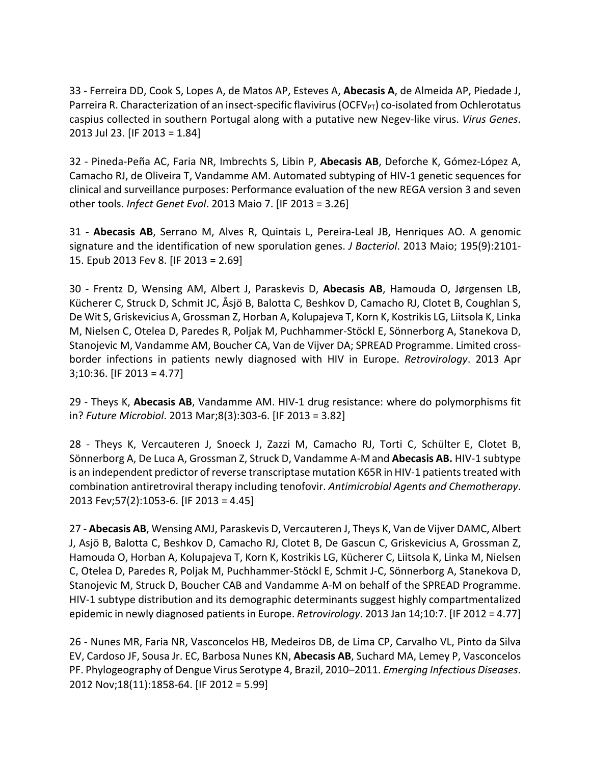33 - Ferreira DD, Cook S, Lopes A, de Matos AP, Esteves A, **Abecasis A**, de Almeida AP, Piedade J, Parreira R. Characterization of an insect-specific flavivirus (OCFV<sub>PT</sub>) co-isolated from Ochlerotatus caspius collected in southern Portugal along with a putative new Negev-like virus. *Virus Genes*. 2013 Jul 23. [IF 2013 = 1.84]

32 - Pineda-Peña AC, Faria NR, Imbrechts S, Libin P, **Abecasis AB**, Deforche K, Gómez-López A, Camacho RJ, de Oliveira T, Vandamme AM. Automated subtyping of HIV-1 genetic sequences for clinical and surveillance purposes: Performance evaluation of the new REGA version 3 and seven other tools. *Infect Genet Evol*. 2013 Maio 7. [IF 2013 = 3.26]

31 - **Abecasis AB**, Serrano M, Alves R, Quintais L, Pereira-Leal JB, Henriques AO. A genomic signature and the identification of new sporulation genes. *J Bacteriol*. 2013 Maio; 195(9):2101- 15. Epub 2013 Fev 8. [IF 2013 = 2.69]

30 - Frentz D, Wensing AM, Albert J, Paraskevis D, **Abecasis AB**, Hamouda O, Jørgensen LB, Kücherer C, Struck D, Schmit JC, Åsjö B, Balotta C, Beshkov D, Camacho RJ, Clotet B, Coughlan S, De Wit S, Griskevicius A, Grossman Z, Horban A, Kolupajeva T, Korn K, Kostrikis LG, Liitsola K, Linka M, Nielsen C, Otelea D, Paredes R, Poljak M, Puchhammer-Stöckl E, Sönnerborg A, Stanekova D, Stanojevic M, Vandamme AM, Boucher CA, Van de Vijver DA; SPREAD Programme. Limited crossborder infections in patients newly diagnosed with HIV in Europe. *Retrovirology*. 2013 Apr 3;10:36. [IF 2013 = 4.77]

29 - Theys K, **Abecasis AB**, Vandamme AM. HIV-1 drug resistance: where do polymorphisms fit in? *Future Microbiol*. 2013 Mar;8(3):303-6. [IF 2013 = 3.82]

28 - Theys K, Vercauteren J, Snoeck J, Zazzi M, Camacho RJ, Torti C, Schülter E, Clotet B, Sönnerborg A, De Luca A, Grossman Z, Struck D, Vandamme A-Mand **Abecasis AB.** HIV-1 subtype is an independent predictor of reverse transcriptase mutation K65R in HIV-1 patients treated with combination antiretroviral therapy including tenofovir. *Antimicrobial Agents and Chemotherapy*. 2013 Fev;57(2):1053-6. [IF 2013 = 4.45]

27 - **Abecasis AB**, Wensing AMJ, Paraskevis D, Vercauteren J, Theys K, Van de Vijver DAMC, Albert J, Asjö B, Balotta C, Beshkov D, Camacho RJ, Clotet B, De Gascun C, Griskevicius A, Grossman Z, Hamouda O, Horban A, Kolupajeva T, Korn K, Kostrikis LG, Kücherer C, Liitsola K, Linka M, Nielsen C, Otelea D, Paredes R, Poljak M, Puchhammer-Stöckl E, Schmit J-C, Sönnerborg A, Stanekova D, Stanojevic M, Struck D, Boucher CAB and Vandamme A-M on behalf of the SPREAD Programme. HIV-1 subtype distribution and its demographic determinants suggest highly compartmentalized epidemic in newly diagnosed patients in Europe. *Retrovirology*. 2013 Jan 14;10:7. [IF 2012 = 4.77]

26 - Nunes MR, Faria NR, Vasconcelos HB, Medeiros DB, de Lima CP, Carvalho VL, Pinto da Silva EV, Cardoso JF, Sousa Jr. EC, Barbosa Nunes KN, **Abecasis AB**, Suchard MA, Lemey P, Vasconcelos PF. Phylogeography of Dengue Virus Serotype 4, Brazil, 2010–2011. *Emerging Infectious Diseases*. 2012 Nov;18(11):1858-64. [IF 2012 = 5.99]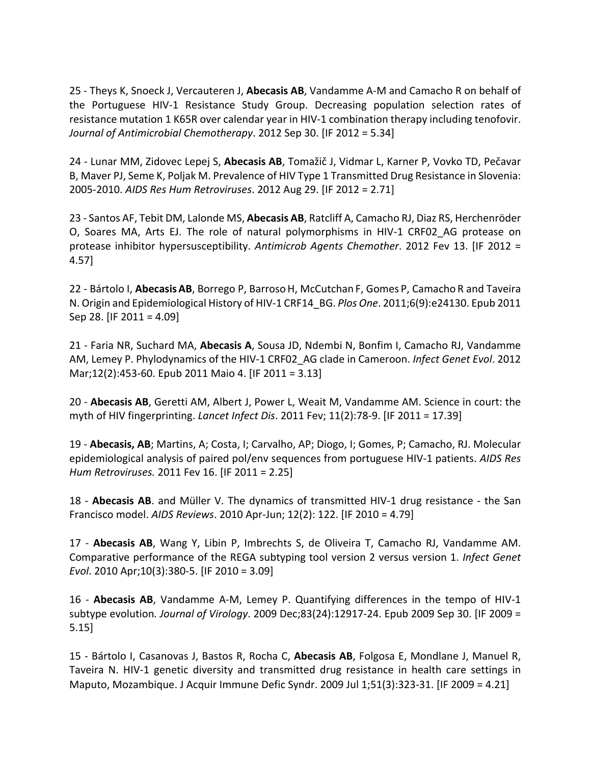25 - Theys K, Snoeck J, Vercauteren J, **Abecasis AB**, Vandamme A-M and Camacho R on behalf of the Portuguese HIV-1 Resistance Study Group. Decreasing population selection rates of resistance mutation 1 K65R over calendar year in HIV-1 combination therapy including tenofovir. *Journal of Antimicrobial Chemotherapy*. 2012 Sep 30. [IF 2012 = 5.34]

24 - Lunar MM, Zidovec Lepej S, **Abecasis AB**, Tomažič J, Vidmar L, Karner P, Vovko TD, Pečavar B, Maver PJ, Seme K, Poljak M. Prevalence of HIV Type 1 Transmitted Drug Resistance in Slovenia: 2005-2010. *AIDS Res Hum Retroviruses*. 2012 Aug 29. [IF 2012 = 2.71]

23 - Santos AF, Tebit DM, Lalonde MS, **Abecasis AB**, Ratcliff A, Camacho RJ, Diaz RS, Herchenröder O, Soares MA, Arts EJ. The role of natural polymorphisms in HIV-1 CRF02\_AG protease on protease inhibitor hypersusceptibility. *Antimicrob Agents Chemother*. 2012 Fev 13. [IF 2012 = 4.57]

22 - Bártolo I, **AbecasisAB**, Borrego P, BarrosoH, McCutchan F, Gomes P, Camacho R and Taveira N. Origin and Epidemiological History of HIV-1 CRF14\_BG. *Plos One*. 2011;6(9):e24130. Epub 2011 Sep 28. [IF 2011 = 4.09]

21 - Faria NR, Suchard MA, **Abecasis A**, Sousa JD, Ndembi N, Bonfim I, Camacho RJ, Vandamme AM, Lemey P. Phylodynamics of the HIV-1 CRF02\_AG clade in Cameroon. *Infect Genet Evol*. 2012 Mar;12(2):453-60. Epub 2011 Maio 4. [IF 2011 = 3.13]

20 - **Abecasis AB**, Geretti AM, Albert J, Power L, Weait M, Vandamme AM. Science in court: the myth of HIV fingerprinting. *Lancet Infect Dis*. 2011 Fev; 11(2):78-9. [IF 2011 = 17.39]

19 - **Abecasis, AB**; Martins, A; Costa, I; Carvalho, AP; Diogo, I; Gomes, P; Camacho, RJ. Molecular epidemiological analysis of paired pol/env sequences from portuguese HIV-1 patients. *AIDS Res Hum Retroviruses.* 2011 Fev 16. [IF 2011 = 2.25]

18 - **Abecasis AB**. and Müller V. The dynamics of transmitted HIV-1 drug resistance - the San Francisco model. *AIDS Reviews*. 2010 Apr-Jun; 12(2): 122. [IF 2010 = 4.79]

17 - **Abecasis AB**, Wang Y, Libin P, Imbrechts S, de Oliveira T, Camacho RJ, Vandamme AM. Comparative performance of the REGA subtyping tool version 2 versus version 1. *Infect Genet Evol*. 2010 Apr;10(3):380-5. [IF 2010 = 3.09]

16 - **Abecasis AB**, Vandamme A-M, Lemey P. Quantifying differences in the tempo of HIV-1 subtype evolution*. Journal of Virology*. 2009 Dec;83(24):12917-24. Epub 2009 Sep 30. [IF 2009 = 5.15]

15 - Bártolo I, Casanovas J, Bastos R, Rocha C, **Abecasis AB**, Folgosa E, Mondlane J, Manuel R, Taveira N. HIV-1 genetic diversity and transmitted drug resistance in health care settings in Maputo, Mozambique. J Acquir Immune Defic Syndr. 2009 Jul 1;51(3):323-31. [IF 2009 = 4.21]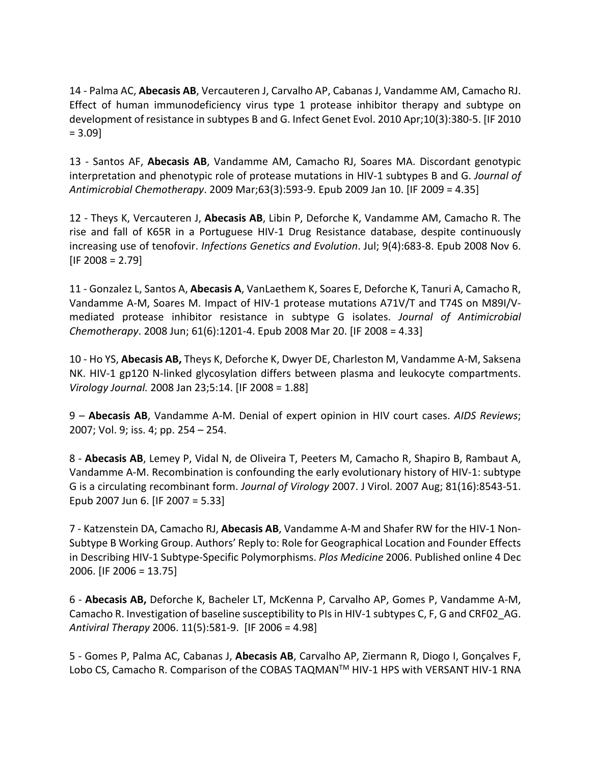14 - Palma AC, **Abecasis AB**, Vercauteren J, Carvalho AP, Cabanas J, Vandamme AM, Camacho RJ. Effect of human immunodeficiency virus type 1 protease inhibitor therapy and subtype on development of resistance in subtypes B and G. Infect Genet Evol. 2010 Apr;10(3):380-5. [IF 2010 = 3.09]

13 - Santos AF, **Abecasis AB**, Vandamme AM, Camacho RJ, Soares MA. Discordant genotypic interpretation and phenotypic role of protease mutations in HIV-1 subtypes B and G. *Journal of Antimicrobial Chemotherapy*. 2009 Mar;63(3):593-9. Epub 2009 Jan 10. [IF 2009 = 4.35]

12 - Theys K, Vercauteren J, **Abecasis AB**, Libin P, Deforche K, Vandamme AM, Camacho R. The rise and fall of K65R in a Portuguese HIV-1 Drug Resistance database, despite continuously increasing use of tenofovir. *Infections Genetics and Evolution*. Jul; 9(4):683-8. Epub 2008 Nov 6.  $[IF 2008 = 2.79]$ 

11 - Gonzalez L, Santos A, **Abecasis A**, VanLaethem K, Soares E, Deforche K, Tanuri A, Camacho R, Vandamme A-M, Soares M. Impact of HIV-1 protease mutations A71V/T and T74S on M89I/Vmediated protease inhibitor resistance in subtype G isolates. *Journal of Antimicrobial Chemotherapy*. 2008 Jun; 61(6):1201-4. Epub 2008 Mar 20. [IF 2008 = 4.33]

10 - Ho YS, **Abecasis AB,** Theys K, Deforche K, Dwyer DE, Charleston M, Vandamme A-M, Saksena NK. HIV-1 gp120 N-linked glycosylation differs between plasma and leukocyte compartments. *Virology Journal.* 2008 Jan 23;5:14. [IF 2008 = 1.88]

9 – **Abecasis AB**, Vandamme A-M. Denial of expert opinion in HIV court cases. *AIDS Reviews*; 2007; Vol. 9; iss. 4; pp. 254 – 254.

8 - **Abecasis AB**, Lemey P, Vidal N, de Oliveira T, Peeters M, Camacho R, Shapiro B, Rambaut A, Vandamme A-M. Recombination is confounding the early evolutionary history of HIV-1: subtype G is a circulating recombinant form. *Journal of Virology* 2007. J Virol. 2007 Aug; 81(16):8543-51. Epub 2007 Jun 6. [IF 2007 = 5.33]

7 - Katzenstein DA, Camacho RJ, **Abecasis AB**, Vandamme A-M and Shafer RW for the HIV-1 Non-Subtype B Working Group. Authors' Reply to: Role for Geographical Location and Founder Effects in Describing HIV-1 Subtype-Specific Polymorphisms. *Plos Medicine* 2006. Published online 4 Dec 2006. [IF 2006 = 13.75]

6 - **Abecasis AB,** Deforche K, Bacheler LT, McKenna P, Carvalho AP, Gomes P, Vandamme A-M, Camacho R. Investigation of baseline susceptibility to PIs in HIV-1 subtypes C, F, G and CRF02\_AG. *Antiviral Therapy* 2006. 11(5):581-9. [IF 2006 = 4.98]

5 - Gomes P, Palma AC, Cabanas J, **Abecasis AB**, Carvalho AP, Ziermann R, Diogo I, Gonçalves F, Lobo CS, Camacho R. Comparison of the COBAS TAQMAN<sup>™</sup> HIV-1 HPS with VERSANT HIV-1 RNA